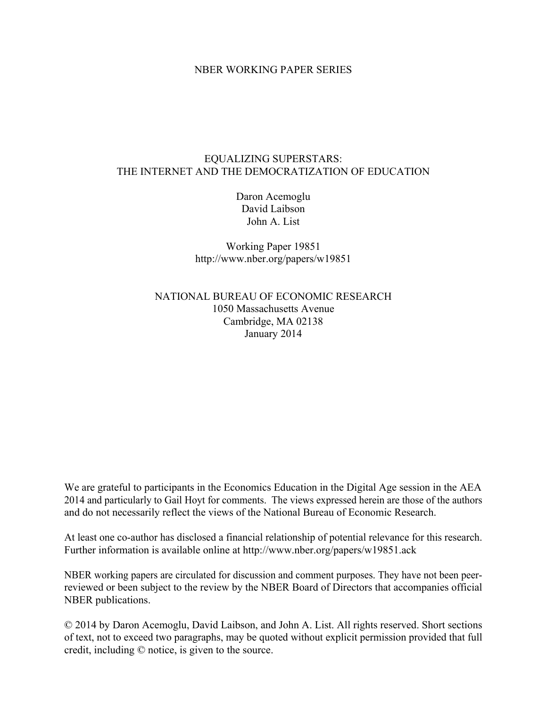### NBER WORKING PAPER SERIES

### EQUALIZING SUPERSTARS: THE INTERNET AND THE DEMOCRATIZATION OF EDUCATION

Daron Acemoglu David Laibson John A. List

Working Paper 19851 http://www.nber.org/papers/w19851

NATIONAL BUREAU OF ECONOMIC RESEARCH 1050 Massachusetts Avenue Cambridge, MA 02138 January 2014

We are grateful to participants in the Economics Education in the Digital Age session in the AEA 2014 and particularly to Gail Hoyt for comments. The views expressed herein are those of the authors and do not necessarily reflect the views of the National Bureau of Economic Research.

At least one co-author has disclosed a financial relationship of potential relevance for this research. Further information is available online at http://www.nber.org/papers/w19851.ack

NBER working papers are circulated for discussion and comment purposes. They have not been peerreviewed or been subject to the review by the NBER Board of Directors that accompanies official NBER publications.

© 2014 by Daron Acemoglu, David Laibson, and John A. List. All rights reserved. Short sections of text, not to exceed two paragraphs, may be quoted without explicit permission provided that full credit, including © notice, is given to the source.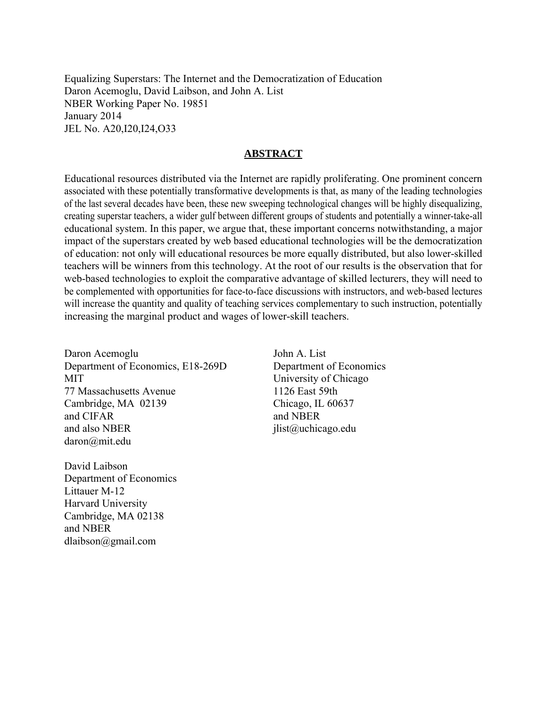Equalizing Superstars: The Internet and the Democratization of Education Daron Acemoglu, David Laibson, and John A. List NBER Working Paper No. 19851 January 2014 JEL No. A20,I20,I24,O33

### **ABSTRACT**

Educational resources distributed via the Internet are rapidly proliferating. One prominent concern associated with these potentially transformative developments is that, as many of the leading technologies of the last several decades have been, these new sweeping technological changes will be highly disequalizing, creating superstar teachers, a wider gulf between different groups of students and potentially a winner-take-all educational system. In this paper, we argue that, these important concerns notwithstanding, a major impact of the superstars created by web based educational technologies will be the democratization of education: not only will educational resources be more equally distributed, but also lower-skilled teachers will be winners from this technology. At the root of our results is the observation that for web-based technologies to exploit the comparative advantage of skilled lecturers, they will need to be complemented with opportunities for face-to-face discussions with instructors, and web-based lectures will increase the quantity and quality of teaching services complementary to such instruction, potentially increasing the marginal product and wages of lower-skill teachers.

Daron Acemoglu Department of Economics, E18-269D MIT 77 Massachusetts Avenue Cambridge, MA 02139 and CIFAR and also NBER daron@mit.edu

John A. List Department of Economics University of Chicago 1126 East 59th Chicago, IL 60637 and NBER jlist@uchicago.edu

David Laibson Department of Economics Littauer M-12 Harvard University Cambridge, MA 02138 and NBER dlaibson@gmail.com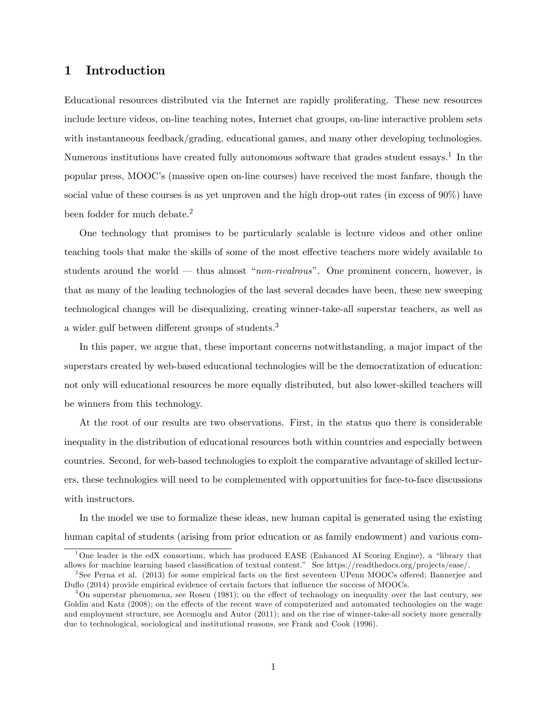## 1 Introduction

Educational resources distributed via the Internet are rapidly proliferating. These new resources include lecture videos, on-line teaching notes, Internet chat groups, on-line interactive problem sets with instantaneous feedback/grading, educational games, and many other developing technologies. Numerous institutions have created fully autonomous software that grades student essays.<sup>1</sup> In the popular press, MOOCís (massive open on-line courses) have received the most fanfare, though the social value of these courses is as yet unproven and the high drop-out rates (in excess of 90%) have been fodder for much debate.<sup>2</sup>

One technology that promises to be particularly scalable is lecture videos and other online teaching tools that make the skills of some of the most effective teachers more widely available to students around the world  $-$  thus almost "non-rivalrous". One prominent concern, however, is that as many of the leading technologies of the last several decades have been, these new sweeping technological changes will be disequalizing, creating winner-take-all superstar teachers, as well as a wider gulf between different groups of students.<sup>3</sup>

In this paper, we argue that, these important concerns notwithstanding, a major impact of the superstars created by web-based educational technologies will be the democratization of education: not only will educational resources be more equally distributed, but also lower-skilled teachers will be winners from this technology.

At the root of our results are two observations. First, in the status quo there is considerable inequality in the distribution of educational resources both within countries and especially between countries. Second, for web-based technologies to exploit the comparative advantage of skilled lecturers, these technologies will need to be complemented with opportunities for face-to-face discussions with instructors.

In the model we use to formalize these ideas, new human capital is generated using the existing human capital of students (arising from prior education or as family endowment) and various com-

 $1$ One leader is the edX consortium, which has produced EASE (Enhanced AI Scoring Engine), a "library that allows for machine learning based classification of textual content." See https://readthedocs.org/projects/ease/.

<sup>&</sup>lt;sup>2</sup>See Perna et al. (2013) for some empirical facts on the first seventeen UPenn MOOCs offered; Bannerjee and Duflo (2014) provide empirical evidence of certain factors that influence the success of MOOCs.

 $3$ On superstar phenomena, see Rosen (1981); on the effect of technology on inequality over the last century, see Goldin and Katz (2008); on the effects of the recent wave of computerized and automated technologies on the wage and employment structure, see Acemoglu and Autor (2011); and on the rise of winner-take-all society more generally due to technological, sociological and institutional reasons, see Frank and Cook (1996).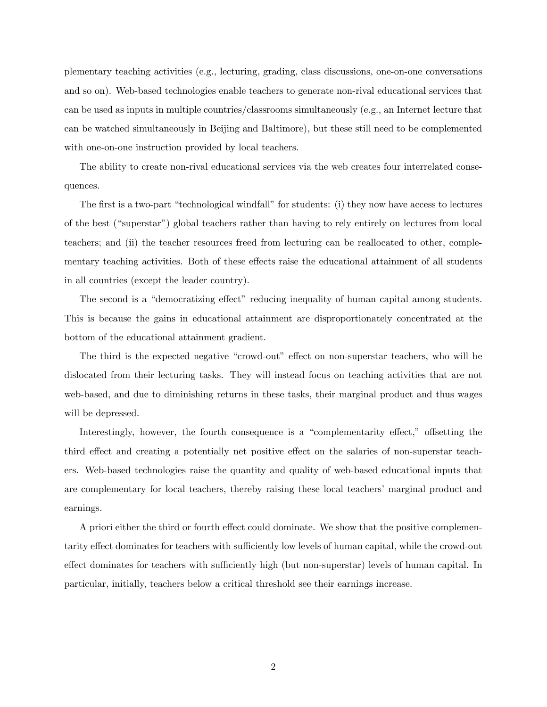plementary teaching activities (e.g., lecturing, grading, class discussions, one-on-one conversations and so on). Web-based technologies enable teachers to generate non-rival educational services that can be used as inputs in multiple countries/classrooms simultaneously (e.g., an Internet lecture that can be watched simultaneously in Beijing and Baltimore), but these still need to be complemented with one-on-one instruction provided by local teachers.

The ability to create non-rival educational services via the web creates four interrelated consequences.

The first is a two-part "technological windfall" for students: (i) they now have access to lectures of the best ("superstar") global teachers rather than having to rely entirely on lectures from local teachers; and (ii) the teacher resources freed from lecturing can be reallocated to other, complementary teaching activities. Both of these effects raise the educational attainment of all students in all countries (except the leader country).

The second is a "democratizing effect" reducing inequality of human capital among students. This is because the gains in educational attainment are disproportionately concentrated at the bottom of the educational attainment gradient.

The third is the expected negative "crowd-out" effect on non-superstar teachers, who will be dislocated from their lecturing tasks. They will instead focus on teaching activities that are not web-based, and due to diminishing returns in these tasks, their marginal product and thus wages will be depressed.

Interestingly, however, the fourth consequence is a "complementarity effect," offsetting the third effect and creating a potentially net positive effect on the salaries of non-superstar teachers. Web-based technologies raise the quantity and quality of web-based educational inputs that are complementary for local teachers, thereby raising these local teachers' marginal product and earnings.

A priori either the third or fourth effect could dominate. We show that the positive complementarity effect dominates for teachers with sufficiently low levels of human capital, while the crowd-out effect dominates for teachers with sufficiently high (but non-superstar) levels of human capital. In particular, initially, teachers below a critical threshold see their earnings increase.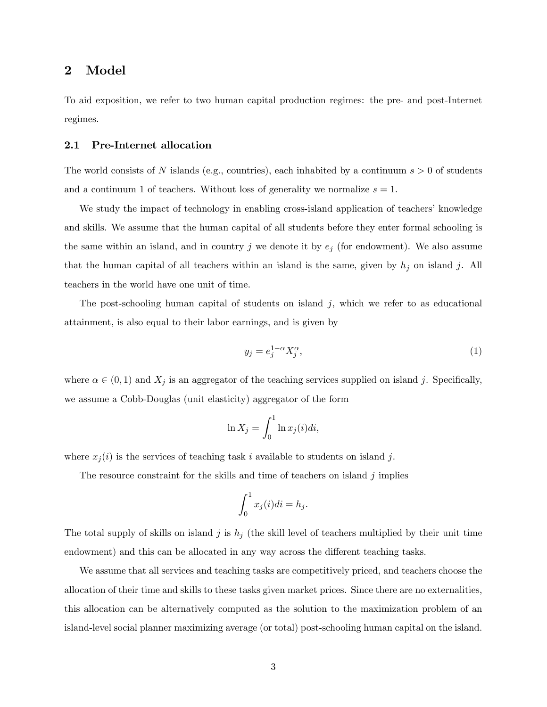## 2 Model

To aid exposition, we refer to two human capital production regimes: the pre- and post-Internet regimes.

#### 2.1 Pre-Internet allocation

The world consists of N islands (e.g., countries), each inhabited by a continuum  $s > 0$  of students and a continuum 1 of teachers. Without loss of generality we normalize  $s = 1$ .

We study the impact of technology in enabling cross-island application of teachers' knowledge and skills. We assume that the human capital of all students before they enter formal schooling is the same within an island, and in country j we denote it by  $e_j$  (for endowment). We also assume that the human capital of all teachers within an island is the same, given by  $h_j$  on island j. All teachers in the world have one unit of time.

The post-schooling human capital of students on island  $j$ , which we refer to as educational attainment, is also equal to their labor earnings, and is given by

$$
y_j = e_j^{1-\alpha} X_j^{\alpha},\tag{1}
$$

where  $\alpha \in (0,1)$  and  $X_j$  is an aggregator of the teaching services supplied on island j. Specifically, we assume a Cobb-Douglas (unit elasticity) aggregator of the form

$$
\ln X_j = \int_0^1 \ln x_j(i)di,
$$

where  $x_j(i)$  is the services of teaching task i available to students on island j.

The resource constraint for the skills and time of teachers on island  $j$  implies

$$
\int_0^1 x_j(i)di = h_j.
$$

The total supply of skills on island j is  $h_j$  (the skill level of teachers multiplied by their unit time endowment) and this can be allocated in any way across the different teaching tasks.

We assume that all services and teaching tasks are competitively priced, and teachers choose the allocation of their time and skills to these tasks given market prices. Since there are no externalities, this allocation can be alternatively computed as the solution to the maximization problem of an island-level social planner maximizing average (or total) post-schooling human capital on the island.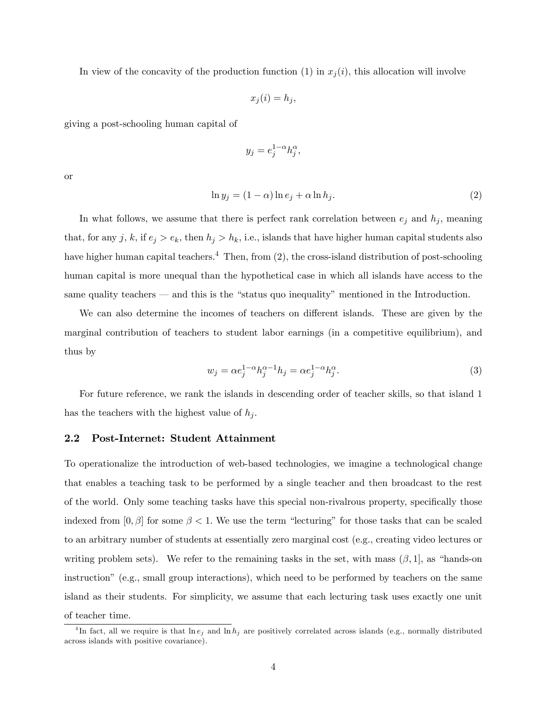In view of the concavity of the production function (1) in  $x_j(i)$ , this allocation will involve

$$
x_j(i) = h_j,
$$

giving a post-schooling human capital of

$$
y_j = e_j^{1-\alpha} h_j^{\alpha},
$$

or

$$
\ln y_j = (1 - \alpha) \ln e_j + \alpha \ln h_j. \tag{2}
$$

In what follows, we assume that there is perfect rank correlation between  $e_j$  and  $h_j$ , meaning that, for any j, k, if  $e_j > e_k$ , then  $h_j > h_k$ , i.e., islands that have higher human capital students also have higher human capital teachers.<sup>4</sup> Then, from  $(2)$ , the cross-island distribution of post-schooling human capital is more unequal than the hypothetical case in which all islands have access to the same quality teachers  $-$  and this is the "status quo inequality" mentioned in the Introduction.

We can also determine the incomes of teachers on different islands. These are given by the marginal contribution of teachers to student labor earnings (in a competitive equilibrium), and thus by

$$
w_j = \alpha e_j^{1-\alpha} h_j^{\alpha-1} h_j = \alpha e_j^{1-\alpha} h_j^{\alpha}.
$$
\n(3)

For future reference, we rank the islands in descending order of teacher skills, so that island 1 has the teachers with the highest value of  $h_j$ .

#### 2.2 Post-Internet: Student Attainment

To operationalize the introduction of web-based technologies, we imagine a technological change that enables a teaching task to be performed by a single teacher and then broadcast to the rest of the world. Only some teaching tasks have this special non-rivalrous property, specifically those indexed from  $[0, \beta]$  for some  $\beta < 1$ . We use the term "lecturing" for those tasks that can be scaled to an arbitrary number of students at essentially zero marginal cost (e.g., creating video lectures or writing problem sets). We refer to the remaining tasks in the set, with mass  $(\beta, 1]$ , as "hands-on instructionî (e.g., small group interactions), which need to be performed by teachers on the same island as their students. For simplicity, we assume that each lecturing task uses exactly one unit of teacher time.

<sup>&</sup>lt;sup>4</sup>In fact, all we require is that  $\ln e_j$  and  $\ln h_j$  are positively correlated across islands (e.g., normally distributed across islands with positive covariance).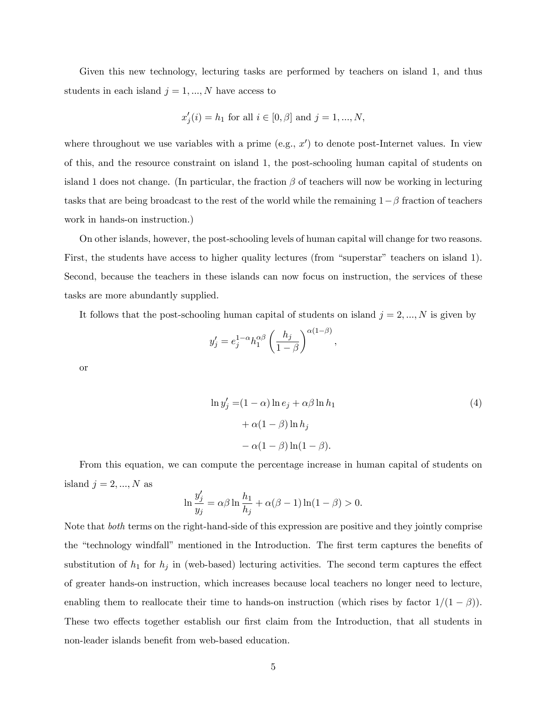Given this new technology, lecturing tasks are performed by teachers on island 1, and thus students in each island  $j = 1, ..., N$  have access to

$$
x'_{j}(i) = h_1
$$
 for all  $i \in [0, \beta]$  and  $j = 1, ..., N$ ,

where throughout we use variables with a prime (e.g.,  $x'$ ) to denote post-Internet values. In view of this, and the resource constraint on island 1, the post-schooling human capital of students on island 1 does not change. (In particular, the fraction  $\beta$  of teachers will now be working in lecturing tasks that are being broadcast to the rest of the world while the remaining  $1-\beta$  fraction of teachers work in hands-on instruction.)

On other islands, however, the post-schooling levels of human capital will change for two reasons. First, the students have access to higher quality lectures (from "superstar" teachers on island 1). Second, because the teachers in these islands can now focus on instruction, the services of these tasks are more abundantly supplied.

It follows that the post-schooling human capital of students on island  $j = 2, ..., N$  is given by

$$
y'_j = e_j^{1-\alpha} h_1^{\alpha\beta} \left(\frac{h_j}{1-\beta}\right)^{\alpha(1-\beta)},
$$

or

$$
\ln y'_j = (1 - \alpha) \ln e_j + \alpha \beta \ln h_1
$$
  
+  $\alpha (1 - \beta) \ln h_j$   
-  $\alpha (1 - \beta) \ln (1 - \beta).$  (4)

From this equation, we can compute the percentage increase in human capital of students on island $j=2,...,N$  as

$$
\ln \frac{y_j'}{y_j} = \alpha \beta \ln \frac{h_1}{h_j} + \alpha(\beta - 1) \ln(1 - \beta) > 0.
$$

Note that *both* terms on the right-hand-side of this expression are positive and they jointly comprise the "technology windfall" mentioned in the Introduction. The first term captures the benefits of substitution of  $h_1$  for  $h_j$  in (web-based) lecturing activities. The second term captures the effect of greater hands-on instruction, which increases because local teachers no longer need to lecture, enabling them to reallocate their time to hands-on instruction (which rises by factor  $1/(1 - \beta)$ ). These two effects together establish our first claim from the Introduction, that all students in non-leader islands benefit from web-based education.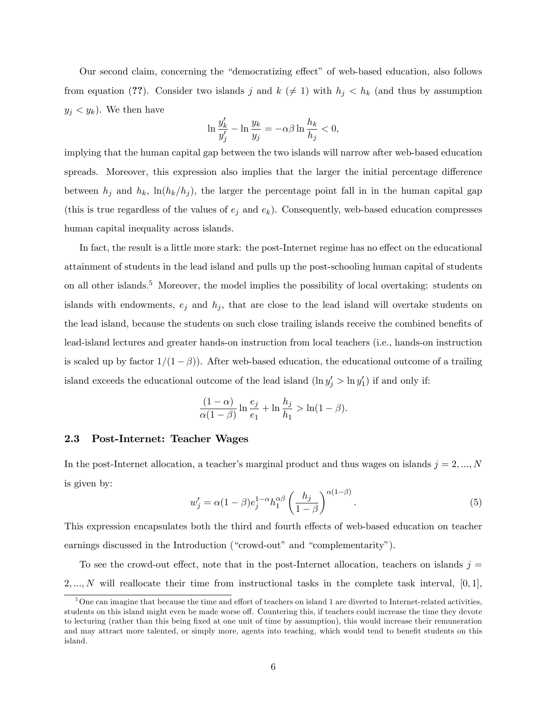Our second claim, concerning the "democratizing effect" of web-based education, also follows from equation (??). Consider two islands j and  $k \neq 1$ ) with  $h_j < h_k$  (and thus by assumption  $y_j < y_k$ ). We then have

$$
\ln \frac{y'_k}{y'_j} - \ln \frac{y_k}{y_j} = -\alpha \beta \ln \frac{h_k}{h_j} < 0,
$$

implying that the human capital gap between the two islands will narrow after web-based education spreads. Moreover, this expression also implies that the larger the initial percentage difference between  $h_j$  and  $h_k$ ,  $\ln(h_k/h_j)$ , the larger the percentage point fall in in the human capital gap (this is true regardless of the values of  $e_j$  and  $e_k$ ). Consequently, web-based education compresses human capital inequality across islands.

In fact, the result is a little more stark: the post-Internet regime has no effect on the educational attainment of students in the lead island and pulls up the post-schooling human capital of students on all other islands.<sup>5</sup> Moreover, the model implies the possibility of local overtaking: students on islands with endowments,  $e_j$  and  $h_j$ , that are close to the lead island will overtake students on the lead island, because the students on such close trailing islands receive the combined benefits of lead-island lectures and greater hands-on instruction from local teachers (i.e., hands-on instruction is scaled up by factor  $1/(1 - \beta)$ ). After web-based education, the educational outcome of a trailing island exceeds the educational outcome of the lead island  $(\ln y'_j > \ln y'_1)$  if and only if:

$$
\frac{(1-\alpha)}{\alpha(1-\beta)}\ln\frac{e_j}{e_1} + \ln\frac{h_j}{h_1} > \ln(1-\beta).
$$

#### 2.3 Post-Internet: Teacher Wages

In the post-Internet allocation, a teacher's marginal product and thus wages on islands  $j = 2, ..., N$ is given by:

$$
w_j' = \alpha (1 - \beta) e_j^{1 - \alpha} h_1^{\alpha \beta} \left( \frac{h_j}{1 - \beta} \right)^{\alpha (1 - \beta)}.
$$
\n
$$
(5)
$$

This expression encapsulates both the third and fourth effects of web-based education on teacher earnings discussed in the Introduction ("crowd-out" and "complementarity").

To see the crowd-out effect, note that in the post-Internet allocation, teachers on islands  $j =$  $2, ..., N$  will reallocate their time from instructional tasks in the complete task interval,  $[0, 1]$ ,

 $5$ One can imagine that because the time and effort of teachers on island 1 are diverted to Internet-related activities, students on this island might even be made worse off. Countering this, if teachers could increase the time they devote to lecturing (rather than this being Öxed at one unit of time by assumption), this would increase their remuneration and may attract more talented, or simply more, agents into teaching, which would tend to benefit students on this island.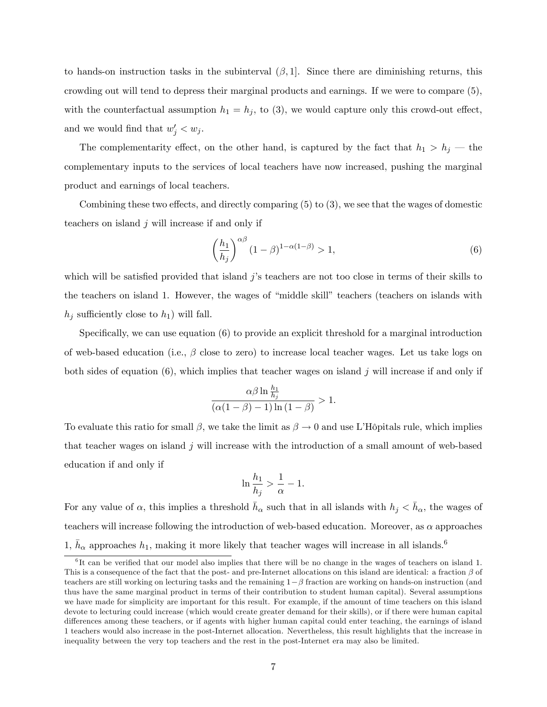to hands-on instruction tasks in the subinterval  $(\beta, 1]$ . Since there are diminishing returns, this crowding out will tend to depress their marginal products and earnings. If we were to compare (5), with the counterfactual assumption  $h_1 = h_j$ , to (3), we would capture only this crowd-out effect, and we would find that  $w'_j < w_j$ .

The complementarity effect, on the other hand, is captured by the fact that  $h_1 > h_j$  – the complementary inputs to the services of local teachers have now increased, pushing the marginal product and earnings of local teachers.

Combining these two effects, and directly comparing  $(5)$  to  $(3)$ , we see that the wages of domestic teachers on island  $j$  will increase if and only if

$$
\left(\frac{h_1}{h_j}\right)^{\alpha\beta} (1-\beta)^{1-\alpha(1-\beta)} > 1,\tag{6}
$$

which will be satisfied provided that island  $j$ 's teachers are not too close in terms of their skills to the teachers on island 1. However, the wages of "middle skill" teachers (teachers on islands with  $h_i$  sufficiently close to  $h_1$ ) will fall.

Specifically, we can use equation  $(6)$  to provide an explicit threshold for a marginal introduction of web-based education (i.e.,  $\beta$  close to zero) to increase local teacher wages. Let us take logs on both sides of equation  $(6)$ , which implies that teacher wages on island j will increase if and only if

$$
\frac{\alpha\beta\ln\frac{h_1}{h_j}}{(\alpha(1-\beta)-1)\ln(1-\beta)} > 1.
$$

To evaluate this ratio for small  $\beta$ , we take the limit as  $\beta \to 0$  and use L'Hôpitals rule, which implies that teacher wages on island  $j$  will increase with the introduction of a small amount of web-based education if and only if

$$
\ln\frac{h_1}{h_j} > \frac{1}{\alpha}-1.
$$

For any value of  $\alpha$ , this implies a threshold  $\bar{h}_{\alpha}$  such that in all islands with  $h_j < \bar{h}_{\alpha}$ , the wages of teachers will increase following the introduction of web-based education. Moreover, as  $\alpha$  approaches 1,  $\bar{h}_{\alpha}$  approaches  $h_1$ , making it more likely that teacher wages will increase in all islands.<sup>6</sup>

 ${}^{6}$ It can be verified that our model also implies that there will be no change in the wages of teachers on island 1. This is a consequence of the fact that the post- and pre-Internet allocations on this island are identical: a fraction  $\beta$  of teachers are still working on lecturing tasks and the remaining  $1-\beta$  fraction are working on hands-on instruction (and thus have the same marginal product in terms of their contribution to student human capital). Several assumptions we have made for simplicity are important for this result. For example, if the amount of time teachers on this island devote to lecturing could increase (which would create greater demand for their skills), or if there were human capital differences among these teachers, or if agents with higher human capital could enter teaching, the earnings of island 1 teachers would also increase in the post-Internet allocation. Nevertheless, this result highlights that the increase in inequality between the very top teachers and the rest in the post-Internet era may also be limited.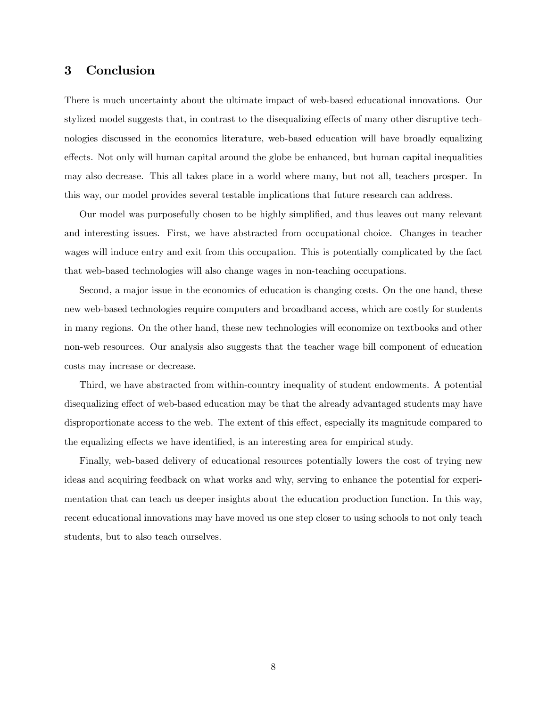## 3 Conclusion

There is much uncertainty about the ultimate impact of web-based educational innovations. Our stylized model suggests that, in contrast to the disequalizing effects of many other disruptive technologies discussed in the economics literature, web-based education will have broadly equalizing effects. Not only will human capital around the globe be enhanced, but human capital inequalities may also decrease. This all takes place in a world where many, but not all, teachers prosper. In this way, our model provides several testable implications that future research can address.

Our model was purposefully chosen to be highly simplified, and thus leaves out many relevant and interesting issues. First, we have abstracted from occupational choice. Changes in teacher wages will induce entry and exit from this occupation. This is potentially complicated by the fact that web-based technologies will also change wages in non-teaching occupations.

Second, a major issue in the economics of education is changing costs. On the one hand, these new web-based technologies require computers and broadband access, which are costly for students in many regions. On the other hand, these new technologies will economize on textbooks and other non-web resources. Our analysis also suggests that the teacher wage bill component of education costs may increase or decrease.

Third, we have abstracted from within-country inequality of student endowments. A potential disequalizing effect of web-based education may be that the already advantaged students may have disproportionate access to the web. The extent of this effect, especially its magnitude compared to the equalizing effects we have identified, is an interesting area for empirical study.

Finally, web-based delivery of educational resources potentially lowers the cost of trying new ideas and acquiring feedback on what works and why, serving to enhance the potential for experimentation that can teach us deeper insights about the education production function. In this way, recent educational innovations may have moved us one step closer to using schools to not only teach students, but to also teach ourselves.